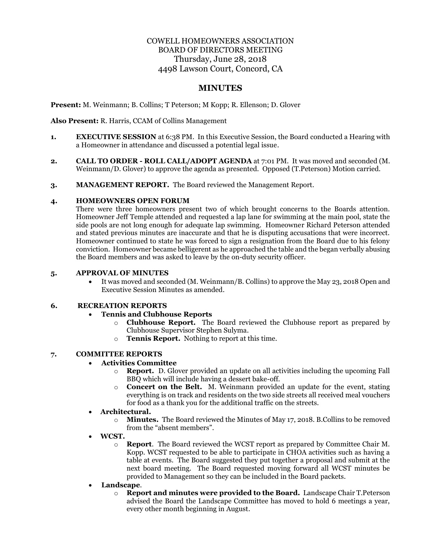# COWELL HOMEOWNERS ASSOCIATION BOARD OF DIRECTORS MEETING Thursday, June 28, 2018 4498 Lawson Court, Concord, CA

# **MINUTES**

**Present:** M. Weinmann; B. Collins; T Peterson; M Kopp; R. Ellenson; D. Glover

**Also Present:** R. Harris, CCAM of Collins Management

- **1. EXECUTIVE SESSION** at 6:38 PM. In this Executive Session, the Board conducted a Hearing with a Homeowner in attendance and discussed a potential legal issue.
- **2. CALL TO ORDER - ROLL CALL/ADOPT AGENDA** at 7:01 PM. It was moved and seconded (M. Weinmann/D. Glover) to approve the agenda as presented. Opposed (T.Peterson) Motion carried.
- **3. MANAGEMENT REPORT.** The Board reviewed the Management Report.

#### **4. HOMEOWNERS OPEN FORUM**

There were three homeowners present two of which brought concerns to the Boards attention. Homeowner Jeff Temple attended and requested a lap lane for swimming at the main pool, state the side pools are not long enough for adequate lap swimming. Homeowner Richard Peterson attended and stated previous minutes are inaccurate and that he is disputing accusations that were incorrect. Homeowner continued to state he was forced to sign a resignation from the Board due to his felony conviction. Homeowner became belligerent as he approached the table and the began verbally abusing the Board members and was asked to leave by the on-duty security officer.

### **5. APPROVAL OF MINUTES**

• It was moved and seconded (M. Weinmann/B. Collins) to approve the May 23, 2018 Open and Executive Session Minutes as amended.

### **6. RECREATION REPORTS**

# • **Tennis and Clubhouse Reports**

- o **Clubhouse Report.** The Board reviewed the Clubhouse report as prepared by Clubhouse Supervisor Stephen Sulyma.
- o **Tennis Report.** Nothing to report at this time.

#### **7. COMMITTEE REPORTS**

# • **Activities Committee**

- o **Report.** D. Glover provided an update on all activities including the upcoming Fall BBQ which will include having a dessert bake-off.
- o **Concert on the Belt.** M. Weinmann provided an update for the event, stating everything is on track and residents on the two side streets all received meal vouchers for food as a thank you for the additional traffic on the streets.

# • **Architectural.**

- o **Minutes.** The Board reviewed the Minutes of May 17, 2018. B.Collins to be removed from the "absent members".
- **WCST.** 
	- o **Report**. The Board reviewed the WCST report as prepared by Committee Chair M. Kopp. WCST requested to be able to participate in CHOA activities such as having a table at events. The Board suggested they put together a proposal and submit at the next board meeting. The Board requested moving forward all WCST minutes be provided to Management so they can be included in the Board packets.
- **Landscape**.
	- o **Report and minutes were provided to the Board.** Landscape Chair T.Peterson advised the Board the Landscape Committee has moved to hold 6 meetings a year, every other month beginning in August.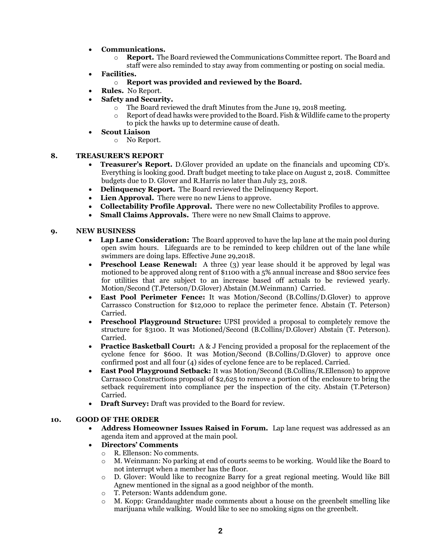- **Communications.** 
	- o **Report.** The Board reviewed the Communications Committee report. The Board and staff were also reminded to stay away from commenting or posting on social media.
- **Facilities.** 
	- o **Report was provided and reviewed by the Board.**
- **Rules.** No Report.
- **Safety and Security.**
	- o The Board reviewed the draft Minutes from the June 19, 2018 meeting.
	- Report of dead hawks were provided to the Board. Fish & Wildlife came to the property to pick the hawks up to determine cause of death.
- **Scout Liaison**
	- o No Report.

# **8. TREASURER'S REPORT**

- **Treasurer's Report.** D.Glover provided an update on the financials and upcoming CD's. Everything is looking good. Draft budget meeting to take place on August 2, 2018. Committee budgets due to D. Glover and R.Harris no later than July 23, 2018.
- **Delinquency Report.** The Board reviewed the Delinquency Report.
- **Lien Approval.** There were no new Liens to approve.
- **Collectability Profile Approval.** There were no new Collectability Profiles to approve.
- **Small Claims Approvals.** There were no new Small Claims to approve.

### **9. NEW BUSINESS**

- **Lap Lane Consideration:** The Board approved to have the lap lane at the main pool during open swim hours. Lifeguards are to be reminded to keep children out of the lane while swimmers are doing laps. Effective June 29,2018.
- **Preschool Lease Renewal:** A three (3) year lease should it be approved by legal was motioned to be approved along rent of \$1100 with a 5% annual increase and \$800 service fees for utilities that are subject to an increase based off actuals to be reviewed yearly. Motion/Second (T.Peterson/D.Glover) Abstain (M.Weinmann) Carried.
- **East Pool Perimeter Fence:** It was Motion/Second (B.Collins/D.Glover) to approve Carrassco Construction for \$12,000 to replace the perimeter fence. Abstain (T. Peterson) Carried.
- **Preschool Playground Structure:** UPSI provided a proposal to completely remove the structure for \$3100. It was Motioned/Second (B.Collins/D.Glover) Abstain (T. Peterson). Carried.
- **Practice Basketball Court:** A & J Fencing provided a proposal for the replacement of the cyclone fence for \$600. It was Motion/Second (B.Collins/D.Glover) to approve once confirmed post and all four (4) sides of cyclone fence are to be replaced. Carried.
- **East Pool Playground Setback:** It was Motion/Second (B.Collins/R.Ellenson) to approve Carrassco Constructions proposal of \$2,625 to remove a portion of the enclosure to bring the setback requirement into compliance per the inspection of the city. Abstain (T.Peterson) Carried.
- **Draft Survey:** Draft was provided to the Board for review.

#### **10. GOOD OF THE ORDER**

- **Address Homeowner Issues Raised in Forum.** Lap lane request was addressed as an agenda item and approved at the main pool.
- **Directors' Comments**
	- o R. Ellenson: No comments.
	- o M. Weinmann: No parking at end of courts seems to be working. Would like the Board to not interrupt when a member has the floor.
	- o D. Glover: Would like to recognize Barry for a great regional meeting. Would like Bill Agnew mentioned in the signal as a good neighbor of the month.
	- o T. Peterson: Wants addendum gone.
	- $\circ$  M. Kopp: Granddaughter made comments about a house on the greenbelt smelling like marijuana while walking. Would like to see no smoking signs on the greenbelt.